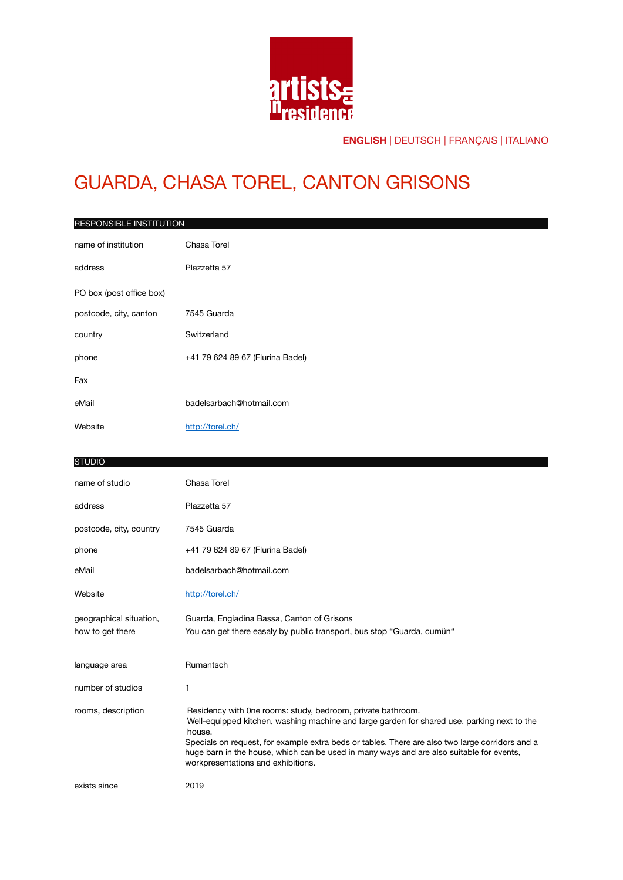

# GUARDA, CHASA TOREL, CANTON GRISONS

| RESPONSIBLE INSTITUTION  |                                  |  |
|--------------------------|----------------------------------|--|
| name of institution      | Chasa Torel                      |  |
| address                  | Plazzetta 57                     |  |
| PO box (post office box) |                                  |  |
| postcode, city, canton   | 7545 Guarda                      |  |
| country                  | Switzerland                      |  |
| phone                    | +41 79 624 89 67 (Flurina Badel) |  |
| Fax                      |                                  |  |
| eMail                    | badelsarbach@hotmail.com         |  |
| Website                  | http://torel.ch/                 |  |

#### **STUDIO**

| name of studio                              | Chasa Torel                                                                                                                                                                                                                                                                                                                                                                                               |
|---------------------------------------------|-----------------------------------------------------------------------------------------------------------------------------------------------------------------------------------------------------------------------------------------------------------------------------------------------------------------------------------------------------------------------------------------------------------|
| address                                     | Plazzetta 57                                                                                                                                                                                                                                                                                                                                                                                              |
| postcode, city, country                     | 7545 Guarda                                                                                                                                                                                                                                                                                                                                                                                               |
| phone                                       | +41 79 624 89 67 (Flurina Badel)                                                                                                                                                                                                                                                                                                                                                                          |
| eMail                                       | badelsarbach@hotmail.com                                                                                                                                                                                                                                                                                                                                                                                  |
| Website                                     | http://torel.ch/                                                                                                                                                                                                                                                                                                                                                                                          |
| geographical situation,<br>how to get there | Guarda, Engiadina Bassa, Canton of Grisons<br>You can get there easaly by public transport, bus stop "Guarda, cumün"                                                                                                                                                                                                                                                                                      |
| language area                               | Rumantsch                                                                                                                                                                                                                                                                                                                                                                                                 |
| number of studios                           | 1                                                                                                                                                                                                                                                                                                                                                                                                         |
| rooms, description                          | Residency with One rooms: study, bedroom, private bathroom.<br>Well-equipped kitchen, washing machine and large garden for shared use, parking next to the<br>house.<br>Specials on request, for example extra beds or tables. There are also two large corridors and a<br>huge barn in the house, which can be used in many ways and are also suitable for events,<br>workpresentations and exhibitions. |
| exists since                                | 2019                                                                                                                                                                                                                                                                                                                                                                                                      |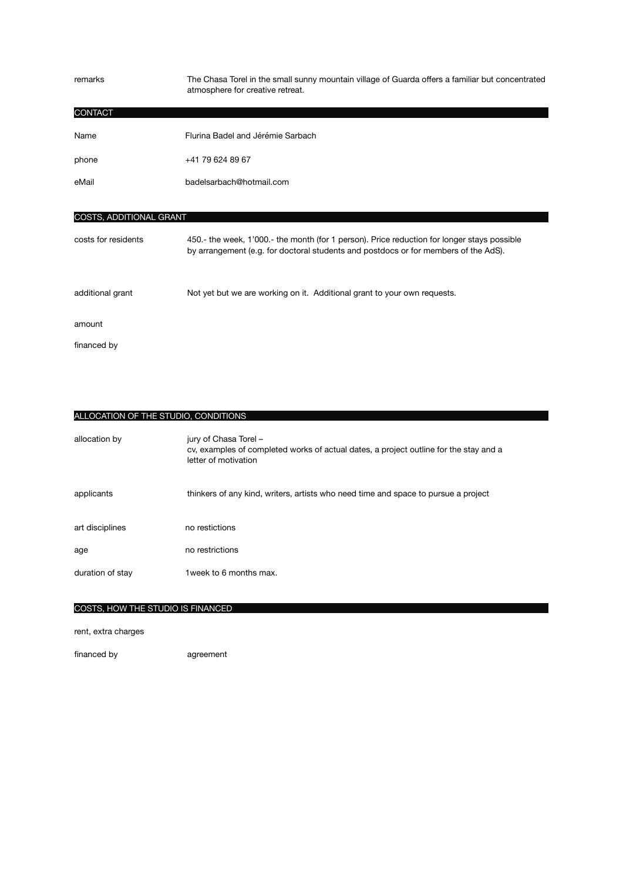| remarks                        | The Chasa Torel in the small sunny mountain village of Guarda offers a familiar but concentrated<br>atmosphere for creative retreat. |
|--------------------------------|--------------------------------------------------------------------------------------------------------------------------------------|
| <b>CONTACT</b>                 |                                                                                                                                      |
| Name                           | Flurina Badel and Jérémie Sarbach                                                                                                    |
| phone                          | +41 79 624 89 67                                                                                                                     |
| eMail                          | badelsarbach@hotmail.com                                                                                                             |
|                                |                                                                                                                                      |
| <b>COSTS, ADDITIONAL GRANT</b> |                                                                                                                                      |

| costs for residents | 450.- the week, 1'000.- the month (for 1 person). Price reduction for longer stays possible<br>by arrangement (e.g. for doctoral students and postdocs or for members of the AdS). |
|---------------------|------------------------------------------------------------------------------------------------------------------------------------------------------------------------------------|
| additional grant    | Not yet but we are working on it. Additional grant to your own requests.                                                                                                           |
| amount              |                                                                                                                                                                                    |
| financed by         |                                                                                                                                                                                    |

ALLOCATION OF THE STUDIO, CONDITIONS

| allocation by    | jury of Chasa Torel -<br>cy, examples of completed works of actual dates, a project outline for the stay and a<br>letter of motivation |
|------------------|----------------------------------------------------------------------------------------------------------------------------------------|
| applicants       | thinkers of any kind, writers, artists who need time and space to pursue a project                                                     |
| art disciplines  | no restictions                                                                                                                         |
| age              | no restrictions                                                                                                                        |
| duration of stay | 1 week to 6 months max.                                                                                                                |
|                  |                                                                                                                                        |

### COSTS, HOW THE STUDIO IS FINANCED

rent, extra charges

financed by agreement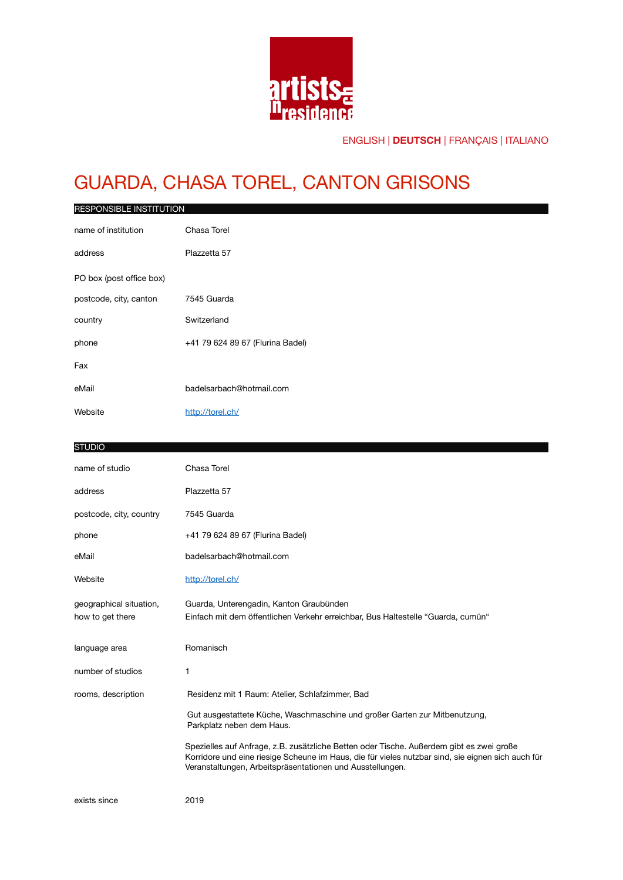

# GUARDA, CHASA TOREL, CANTON GRISONS

| RESPONSIBLE INSTITUTION                     |                                                                                                                                                                                                                                                            |
|---------------------------------------------|------------------------------------------------------------------------------------------------------------------------------------------------------------------------------------------------------------------------------------------------------------|
| name of institution                         | Chasa Torel                                                                                                                                                                                                                                                |
| address                                     | Plazzetta 57                                                                                                                                                                                                                                               |
| PO box (post office box)                    |                                                                                                                                                                                                                                                            |
| postcode, city, canton                      | 7545 Guarda                                                                                                                                                                                                                                                |
| country                                     | Switzerland                                                                                                                                                                                                                                                |
| phone                                       | +41 79 624 89 67 (Flurina Badel)                                                                                                                                                                                                                           |
| Fax                                         |                                                                                                                                                                                                                                                            |
| eMail                                       | badelsarbach@hotmail.com                                                                                                                                                                                                                                   |
| Website                                     | http://torel.ch/                                                                                                                                                                                                                                           |
|                                             |                                                                                                                                                                                                                                                            |
| <b>STUDIO</b>                               |                                                                                                                                                                                                                                                            |
| name of studio                              | Chasa Torel                                                                                                                                                                                                                                                |
| address                                     | Plazzetta 57                                                                                                                                                                                                                                               |
| postcode, city, country                     | 7545 Guarda                                                                                                                                                                                                                                                |
| phone                                       | +41 79 624 89 67 (Flurina Badel)                                                                                                                                                                                                                           |
| eMail                                       | badelsarbach@hotmail.com                                                                                                                                                                                                                                   |
| Website                                     | http://torel.ch/                                                                                                                                                                                                                                           |
| geographical situation,<br>how to get there | Guarda, Unterengadin, Kanton Graubünden<br>Einfach mit dem öffentlichen Verkehr erreichbar, Bus Haltestelle "Guarda, cumün"                                                                                                                                |
| language area                               | Romanisch                                                                                                                                                                                                                                                  |
| number of studios                           | 1.                                                                                                                                                                                                                                                         |
| rooms, description                          | Residenz mit 1 Raum: Atelier, Schlafzimmer, Bad                                                                                                                                                                                                            |
|                                             | Gut ausgestattete Küche, Waschmaschine und großer Garten zur Mitbenutzung,<br>Parkplatz neben dem Haus.                                                                                                                                                    |
|                                             | Spezielles auf Anfrage, z.B. zusätzliche Betten oder Tische. Außerdem gibt es zwei große<br>Korridore und eine riesige Scheune im Haus, die für vieles nutzbar sind, sie eignen sich auch für<br>Veranstaltungen, Arbeitspräsentationen und Ausstellungen. |
| exists since                                | 2019                                                                                                                                                                                                                                                       |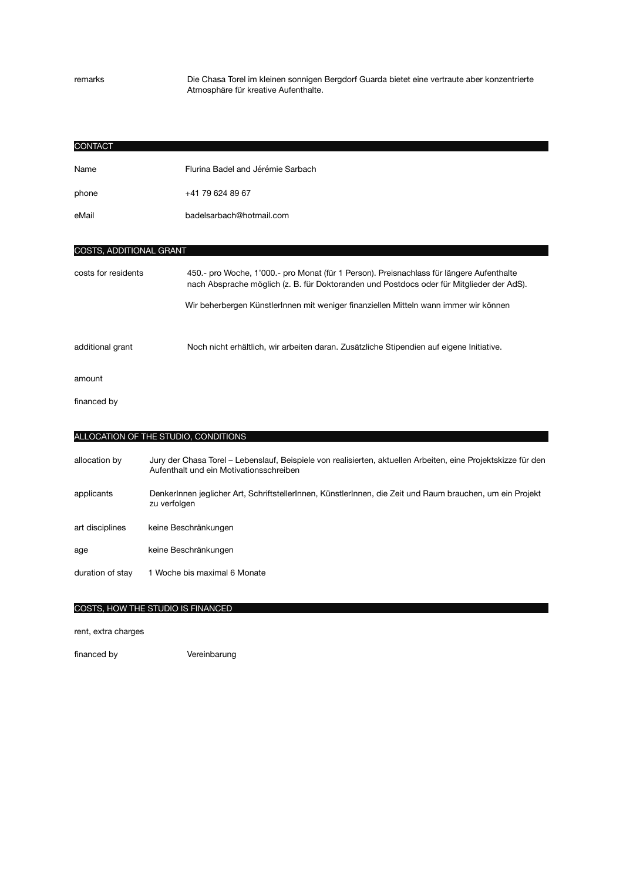remarks Die Chasa Torel im kleinen sonnigen Bergdorf Guarda bietet eine vertraute aber konzentrierte Atmosphäre für kreative Aufenthalte.

| <b>CONTACT</b>          |                                                                                                                                                                                      |  |
|-------------------------|--------------------------------------------------------------------------------------------------------------------------------------------------------------------------------------|--|
| Name                    | Flurina Badel and Jérémie Sarbach                                                                                                                                                    |  |
| phone                   | +41 79 624 89 67                                                                                                                                                                     |  |
| eMail                   | badelsarbach@hotmail.com                                                                                                                                                             |  |
|                         |                                                                                                                                                                                      |  |
| COSTS, ADDITIONAL GRANT |                                                                                                                                                                                      |  |
| costs for residents     | 450.- pro Woche, 1'000.- pro Monat (für 1 Person). Preisnachlass für längere Aufenthalte<br>nach Absprache möglich (z. B. für Doktoranden und Postdocs oder für Mitglieder der AdS). |  |
|                         | Wir beherbergen Künstlerlnnen mit weniger finanziellen Mitteln wann immer wir können                                                                                                 |  |
|                         |                                                                                                                                                                                      |  |
| additional grant        | Noch nicht erhältlich, wir arbeiten daran. Zusätzliche Stipendien auf eigene Initiative.                                                                                             |  |
| amount                  |                                                                                                                                                                                      |  |
| financed by             |                                                                                                                                                                                      |  |
|                         |                                                                                                                                                                                      |  |
|                         | ALLOCATION OF THE STUDIO, CONDITIONS                                                                                                                                                 |  |
| allocation by           | Jury der Chasa Torel - Lebenslauf, Beispiele von realisierten, aktuellen Arbeiten, eine Projektskizze für den<br>Aufenthalt und ein Motivationsschreiben                             |  |
| applicants              | Denkerlnnen jeglicher Art, Schriftstellerlnnen, Künstlerlnnen, die Zeit und Raum brauchen, um ein Projekt<br>zu verfolgen                                                            |  |
| art disciplines         | keine Beschränkungen                                                                                                                                                                 |  |
| age                     | keine Beschränkungen                                                                                                                                                                 |  |
| duration of stay        | 1 Woche bis maximal 6 Monate                                                                                                                                                         |  |
|                         |                                                                                                                                                                                      |  |
|                         | COSTS, HOW THE STUDIO IS FINANCED                                                                                                                                                    |  |
| ممسميات مسايره<br>      |                                                                                                                                                                                      |  |

rent, extra charges

financed by *Vereinbarung*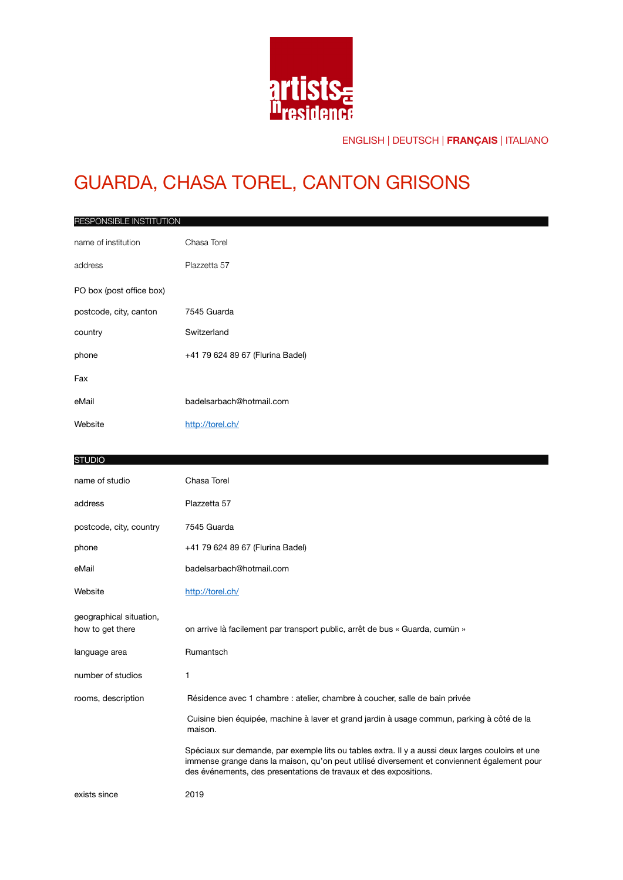

# GUARDA, CHASA TOREL, CANTON GRISONS

| RESPONSIBLE INSTITUTION  |                                  |  |
|--------------------------|----------------------------------|--|
| name of institution      | Chasa Torel                      |  |
| address                  | Plazzetta 57                     |  |
| PO box (post office box) |                                  |  |
| postcode, city, canton   | 7545 Guarda                      |  |
| country                  | Switzerland                      |  |
| phone                    | +41 79 624 89 67 (Flurina Badel) |  |
| Fax                      |                                  |  |
| eMail                    | badelsarbach@hotmail.com         |  |
| Website                  | http://torel.ch/                 |  |
|                          |                                  |  |

#### **STUDIO**

| name of studio                              | Chasa Torel                                                                                                                                                                                                                                                         |
|---------------------------------------------|---------------------------------------------------------------------------------------------------------------------------------------------------------------------------------------------------------------------------------------------------------------------|
| address                                     | Plazzetta 57                                                                                                                                                                                                                                                        |
| postcode, city, country                     | 7545 Guarda                                                                                                                                                                                                                                                         |
| phone                                       | +41 79 624 89 67 (Flurina Badel)                                                                                                                                                                                                                                    |
| eMail                                       | badelsarbach@hotmail.com                                                                                                                                                                                                                                            |
| Website                                     | http://torel.ch/                                                                                                                                                                                                                                                    |
| geographical situation,<br>how to get there | on arrive là facilement par transport public, arrêt de bus « Guarda, cumün »                                                                                                                                                                                        |
| language area                               | Rumantsch                                                                                                                                                                                                                                                           |
| number of studios                           | 1                                                                                                                                                                                                                                                                   |
| rooms, description                          | Résidence avec 1 chambre : atelier, chambre à coucher, salle de bain privée                                                                                                                                                                                         |
|                                             | Cuisine bien équipée, machine à laver et grand jardin à usage commun, parking à côté de la<br>maison.                                                                                                                                                               |
|                                             | Spéciaux sur demande, par exemple lits ou tables extra. Il y a aussi deux larges couloirs et une<br>immense grange dans la maison, qu'on peut utilisé diversement et conviennent également pour<br>des événements, des presentations de travaux et des expositions. |
| exists since                                | 2019                                                                                                                                                                                                                                                                |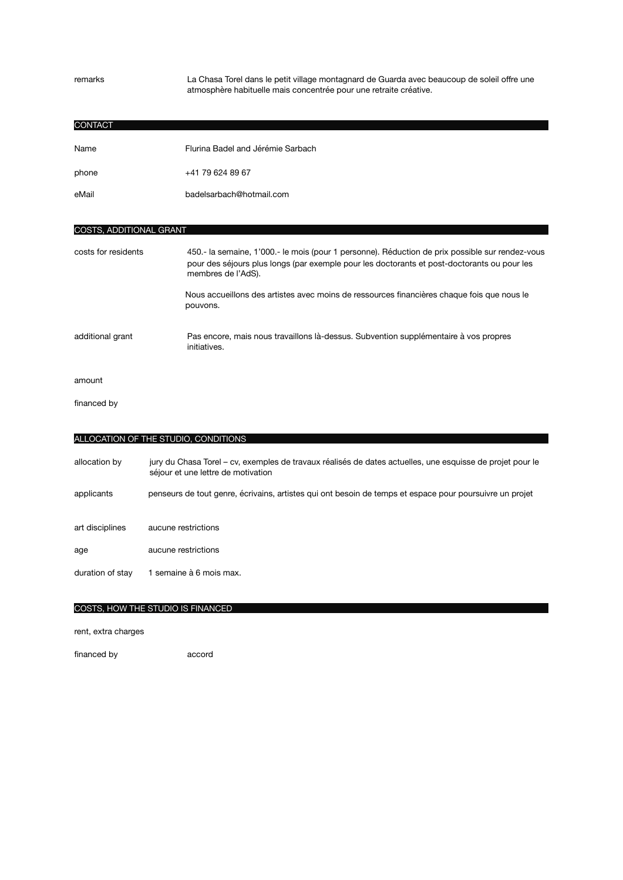remarks La Chasa Torel dans le petit village montagnard de Guarda avec beaucoup de soleil offre une atmosphère habituelle mais concentrée pour une retraite créative.

| <b>CONTACT</b>          |                                                                                                                                                                                                                        |
|-------------------------|------------------------------------------------------------------------------------------------------------------------------------------------------------------------------------------------------------------------|
| Name                    | Flurina Badel and Jérémie Sarbach                                                                                                                                                                                      |
| phone                   | +41 79 624 89 67                                                                                                                                                                                                       |
| eMail                   | badelsarbach@hotmail.com                                                                                                                                                                                               |
|                         |                                                                                                                                                                                                                        |
| COSTS, ADDITIONAL GRANT |                                                                                                                                                                                                                        |
| costs for residents     | 450 .- la semaine, 1'000 .- le mois (pour 1 personne). Réduction de prix possible sur rendez-vous<br>pour des séjours plus longs (par exemple pour les doctorants et post-doctorants ou pour les<br>membres de l'AdS). |
|                         | Nous accueillons des artistes avec moins de ressources financières chaque fois que nous le<br>pouvons.                                                                                                                 |
| additional grant        | Pas encore, mais nous travaillons là-dessus. Subvention supplémentaire à vos propres                                                                                                                                   |

amount

financed by 

| ALLOCATION OF THE STUDIO, CONDITIONS |                                                                                                                                                 |  |
|--------------------------------------|-------------------------------------------------------------------------------------------------------------------------------------------------|--|
| allocation by                        | jury du Chasa Torel – cv, exemples de travaux réalisés de dates actuelles, une esquisse de projet pour le<br>séjour et une lettre de motivation |  |
| applicants                           | penseurs de tout genre, écrivains, artistes qui ont besoin de temps et espace pour poursuivre un projet                                         |  |
|                                      |                                                                                                                                                 |  |
| art disciplines                      | aucune restrictions                                                                                                                             |  |
| age                                  | aucune restrictions                                                                                                                             |  |
| duration of stay                     | 1 semaine à 6 mois max.                                                                                                                         |  |
|                                      |                                                                                                                                                 |  |

#### COSTS, HOW THE STUDIO IS FINANCED

 initiatives.

rent, extra charges

financed by accord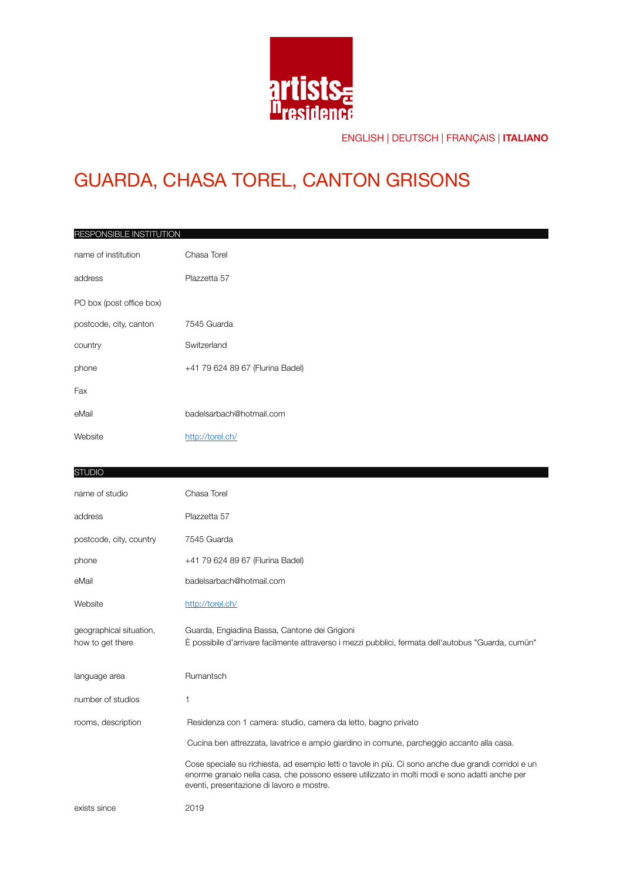

### GUARDA, CHASA TOREL, CANTON GRISONS

| RESPONSIBLE INSTITUTION  |                                  |
|--------------------------|----------------------------------|
| name of institution      | Chasa Torel                      |
| address                  | Plazzetta 57                     |
| PO box (post office box) |                                  |
| postcode, city, canton   | 7545 Guarda                      |
| country                  | Switzerland                      |
| phone                    | +41 79 624 89 67 (Flurina Badel) |
| Fax                      |                                  |
| eMail                    | badelsarbach@hotmail.com         |
| Website                  | http://torel.ch/                 |
|                          |                                  |
| <b>STUDIO</b>            |                                  |

| name of studio                              | Chasa Torel                                                                                                                                                                                                                                         |
|---------------------------------------------|-----------------------------------------------------------------------------------------------------------------------------------------------------------------------------------------------------------------------------------------------------|
| address                                     | Plazzetta 57                                                                                                                                                                                                                                        |
| postcode, city, country                     | 7545 Guarda                                                                                                                                                                                                                                         |
| phone                                       | +41 79 624 89 67 (Flurina Badel)                                                                                                                                                                                                                    |
| eMail                                       | badelsarbach@hotmail.com                                                                                                                                                                                                                            |
| Website                                     | http://torel.ch/                                                                                                                                                                                                                                    |
| geographical situation,<br>how to get there | Guarda, Engiadina Bassa, Cantone dei Grigioni<br>È possibile d'arrivare facilmente attraverso i mezzi pubblici, fermata dell'autobus "Guarda, cumün"                                                                                                |
| language area                               | Rumantsch                                                                                                                                                                                                                                           |
| number of studios                           | 1                                                                                                                                                                                                                                                   |
| rooms, description                          | Residenza con 1 camera: studio, camera da letto, bagno privato                                                                                                                                                                                      |
|                                             | Cucina ben attrezzata, lavatrice e ampio giardino in comune, parcheggio accanto alla casa.                                                                                                                                                          |
|                                             | Cose speciale su richiesta, ad esempio letti o tavole in più. Ci sono anche due grandi corridoi e un<br>enorme granaio nella casa, che possono essere utilizzato in molti modi e sono adatti anche per<br>eventi, presentazione di lavoro e mostre. |
| exists since                                | 2019                                                                                                                                                                                                                                                |